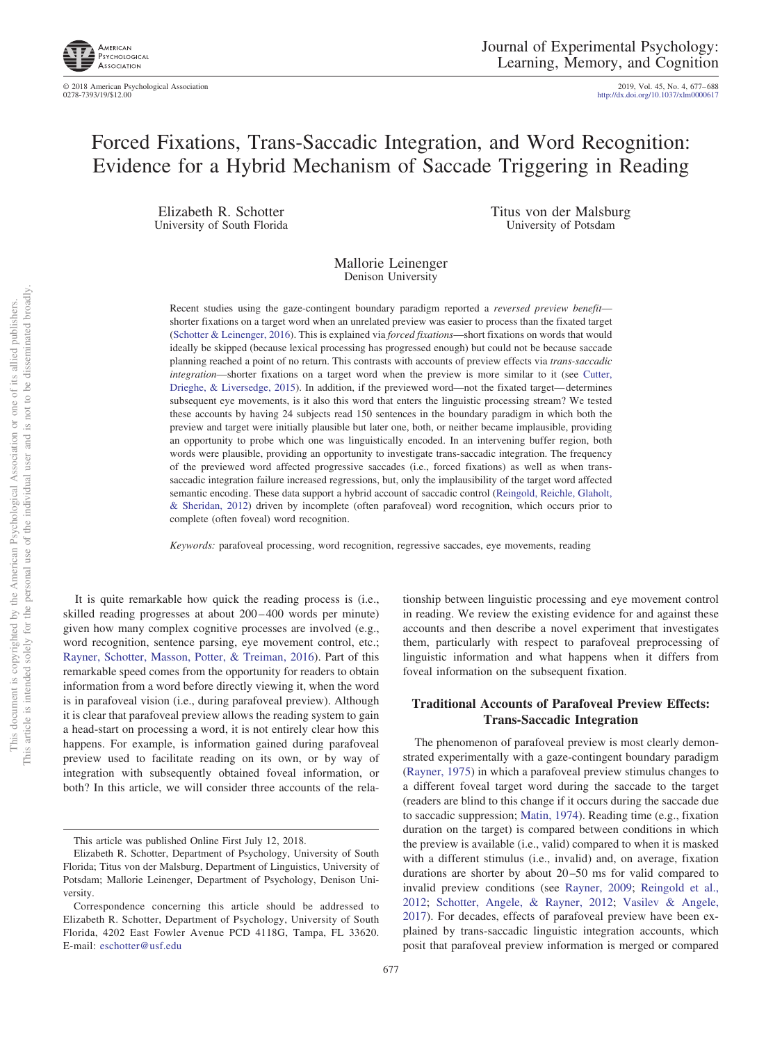

© 2018 American Psychological Association 2019, Vol. 45, No. 4, 677– 688

http://dx.doi.org[/10.1037/xlm0000617](http://dx.doi.org/10.1037/xlm0000617)

# Forced Fixations, Trans-Saccadic Integration, and Word Recognition: Evidence for a Hybrid Mechanism of Saccade Triggering in Reading

Elizabeth R. Schotter University of South Florida Titus von der Malsburg University of Potsdam

Mallorie Leinenger Denison University

Recent studies using the gaze-contingent boundary paradigm reported a *reversed preview benefit* shorter fixations on a target word when an unrelated preview was easier to process than the fixated target [\(Schotter & Leinenger, 2016\)](#page-10-0). This is explained via *forced fixations*—short fixations on words that would ideally be skipped (because lexical processing has progressed enough) but could not be because saccade planning reached a point of no return. This contrasts with accounts of preview effects via *trans-saccadic integration*—shorter fixations on a target word when the preview is more similar to it (see [Cutter,](#page-9-0) [Drieghe, & Liversedge, 2015\)](#page-9-0). In addition, if the previewed word—not the fixated target— determines subsequent eye movements, is it also this word that enters the linguistic processing stream? We tested these accounts by having 24 subjects read 150 sentences in the boundary paradigm in which both the preview and target were initially plausible but later one, both, or neither became implausible, providing an opportunity to probe which one was linguistically encoded. In an intervening buffer region, both words were plausible, providing an opportunity to investigate trans-saccadic integration. The frequency of the previewed word affected progressive saccades (i.e., forced fixations) as well as when transsaccadic integration failure increased regressions, but, only the implausibility of the target word affected semantic encoding. These data support a hybrid account of saccadic control [\(Reingold, Reichle, Glaholt,](#page-10-1) [& Sheridan, 2012\)](#page-10-1) driven by incomplete (often parafoveal) word recognition, which occurs prior to complete (often foveal) word recognition.

*Keywords:* parafoveal processing, word recognition, regressive saccades, eye movements, reading

It is quite remarkable how quick the reading process is (i.e., skilled reading progresses at about 200-400 words per minute) given how many complex cognitive processes are involved (e.g., word recognition, sentence parsing, eye movement control, etc.; [Rayner, Schotter, Masson, Potter, & Treiman, 2016\)](#page-9-1). Part of this remarkable speed comes from the opportunity for readers to obtain information from a word before directly viewing it, when the word is in parafoveal vision (i.e., during parafoveal preview). Although it is clear that parafoveal preview allows the reading system to gain a head-start on processing a word, it is not entirely clear how this happens. For example, is information gained during parafoveal preview used to facilitate reading on its own, or by way of integration with subsequently obtained foveal information, or both? In this article, we will consider three accounts of the rela-

tionship between linguistic processing and eye movement control in reading. We review the existing evidence for and against these accounts and then describe a novel experiment that investigates them, particularly with respect to parafoveal preprocessing of linguistic information and what happens when it differs from foveal information on the subsequent fixation.

# **Traditional Accounts of Parafoveal Preview Effects: Trans-Saccadic Integration**

The phenomenon of parafoveal preview is most clearly demonstrated experimentally with a gaze-contingent boundary paradigm [\(Rayner, 1975\)](#page-9-2) in which a parafoveal preview stimulus changes to a different foveal target word during the saccade to the target (readers are blind to this change if it occurs during the saccade due to saccadic suppression; [Matin, 1974\)](#page-9-3). Reading time (e.g., fixation duration on the target) is compared between conditions in which the preview is available (i.e., valid) compared to when it is masked with a different stimulus (i.e., invalid) and, on average, fixation durations are shorter by about 20–50 ms for valid compared to invalid preview conditions (see [Rayner, 2009;](#page-9-4) [Reingold et al.,](#page-10-1) [2012;](#page-10-1) [Schotter, Angele, & Rayner, 2012;](#page-10-2) [Vasilev & Angele,](#page-10-3) [2017\)](#page-10-3). For decades, effects of parafoveal preview have been explained by trans-saccadic linguistic integration accounts, which posit that parafoveal preview information is merged or compared

This article was published Online First July 12, 2018.

Elizabeth R. Schotter, Department of Psychology, University of South Florida; Titus von der Malsburg, Department of Linguistics, University of Potsdam; Mallorie Leinenger, Department of Psychology, Denison University.

Correspondence concerning this article should be addressed to Elizabeth R. Schotter, Department of Psychology, University of South Florida, 4202 East Fowler Avenue PCD 4118G, Tampa, FL 33620. E-mail: [eschotter@usf.edu](mailto:eschotter@usf.edu)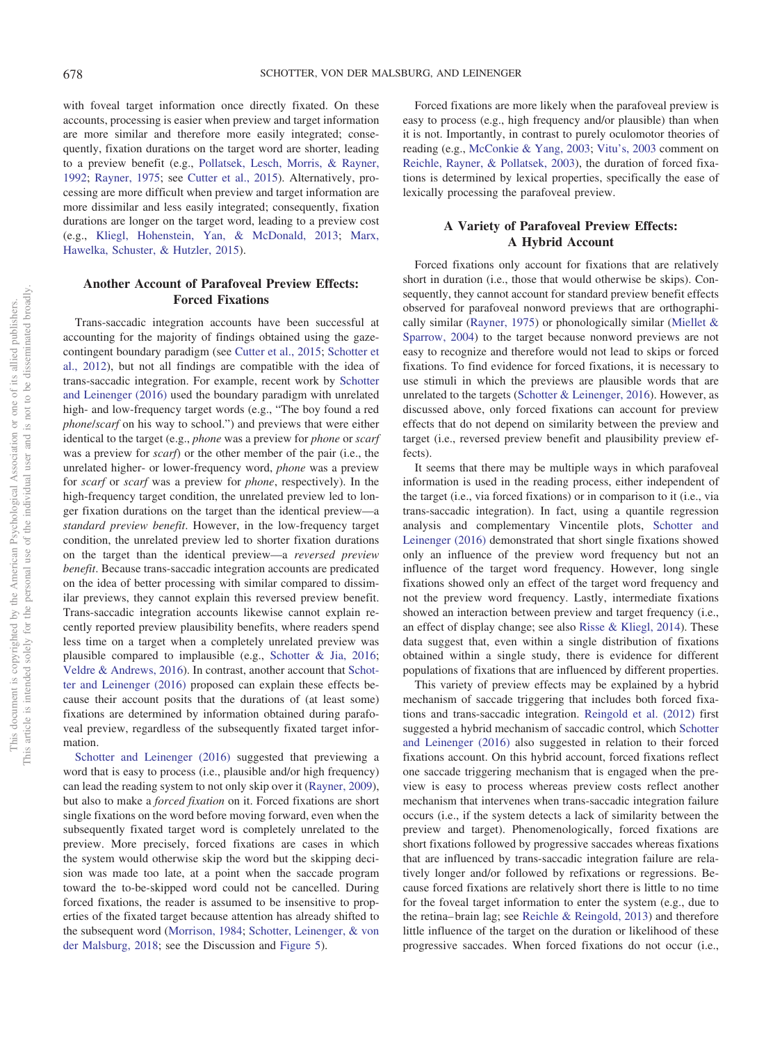with foveal target information once directly fixated. On these accounts, processing is easier when preview and target information are more similar and therefore more easily integrated; consequently, fixation durations on the target word are shorter, leading to a preview benefit (e.g., [Pollatsek, Lesch, Morris, & Rayner,](#page-9-5) [1992;](#page-9-5) [Rayner, 1975;](#page-9-2) see [Cutter et al., 2015\)](#page-9-0). Alternatively, processing are more difficult when preview and target information are more dissimilar and less easily integrated; consequently, fixation durations are longer on the target word, leading to a preview cost (e.g., [Kliegl, Hohenstein, Yan, & McDonald, 2013;](#page-9-6) [Marx,](#page-9-7) [Hawelka, Schuster, & Hutzler, 2015\)](#page-9-7).

# **Another Account of Parafoveal Preview Effects: Forced Fixations**

Trans-saccadic integration accounts have been successful at accounting for the majority of findings obtained using the gazecontingent boundary paradigm (see [Cutter et al., 2015;](#page-9-0) [Schotter et](#page-10-2) [al., 2012\)](#page-10-2), but not all findings are compatible with the idea of trans-saccadic integration. For example, recent work by [Schotter](#page-10-0) [and Leinenger \(2016\)](#page-10-0) used the boundary paradigm with unrelated high- and low-frequency target words (e.g., "The boy found a red *phone*/*scarf* on his way to school.") and previews that were either identical to the target (e.g., *phone* was a preview for *phone* or *scarf* was a preview for *scarf*) or the other member of the pair (i.e., the unrelated higher- or lower-frequency word, *phone* was a preview for *scarf* or *scarf* was a preview for *phone*, respectively). In the high-frequency target condition, the unrelated preview led to longer fixation durations on the target than the identical preview—a *standard preview benefit*. However, in the low-frequency target condition, the unrelated preview led to shorter fixation durations on the target than the identical preview—a *reversed preview benefit*. Because trans-saccadic integration accounts are predicated on the idea of better processing with similar compared to dissimilar previews, they cannot explain this reversed preview benefit. Trans-saccadic integration accounts likewise cannot explain recently reported preview plausibility benefits, where readers spend less time on a target when a completely unrelated preview was plausible compared to implausible (e.g., [Schotter & Jia, 2016;](#page-10-4) [Veldre & Andrews, 2016\)](#page-10-5). In contrast, another account that [Schot](#page-10-0)[ter and Leinenger \(2016\)](#page-10-0) proposed can explain these effects because their account posits that the durations of (at least some) fixations are determined by information obtained during parafoveal preview, regardless of the subsequently fixated target information.

[Schotter and Leinenger \(2016\)](#page-10-0) suggested that previewing a word that is easy to process (i.e., plausible and/or high frequency) can lead the reading system to not only skip over it [\(Rayner, 2009\)](#page-9-4), but also to make a *forced fixation* on it. Forced fixations are short single fixations on the word before moving forward, even when the subsequently fixated target word is completely unrelated to the preview. More precisely, forced fixations are cases in which the system would otherwise skip the word but the skipping decision was made too late, at a point when the saccade program toward the to-be-skipped word could not be cancelled. During forced fixations, the reader is assumed to be insensitive to properties of the fixated target because attention has already shifted to the subsequent word [\(Morrison, 1984;](#page-9-8) [Schotter, Leinenger, & von](#page-10-6) [der Malsburg, 2018;](#page-10-6) see the Discussion and [Figure 5\)](#page-8-0).

Forced fixations are more likely when the parafoveal preview is easy to process (e.g., high frequency and/or plausible) than when it is not. Importantly, in contrast to purely oculomotor theories of reading (e.g., [McConkie & Yang, 2003;](#page-9-9) [Vitu's, 2003](#page-10-7) comment on [Reichle, Rayner, & Pollatsek, 2003\)](#page-10-8), the duration of forced fixations is determined by lexical properties, specifically the ease of lexically processing the parafoveal preview.

# **A Variety of Parafoveal Preview Effects: A Hybrid Account**

Forced fixations only account for fixations that are relatively short in duration (i.e., those that would otherwise be skips). Consequently, they cannot account for standard preview benefit effects observed for parafoveal nonword previews that are orthographically similar [\(Rayner, 1975\)](#page-9-2) or phonologically similar [\(Miellet &](#page-9-10) [Sparrow, 2004\)](#page-9-10) to the target because nonword previews are not easy to recognize and therefore would not lead to skips or forced fixations. To find evidence for forced fixations, it is necessary to use stimuli in which the previews are plausible words that are unrelated to the targets [\(Schotter & Leinenger, 2016\)](#page-10-0). However, as discussed above, only forced fixations can account for preview effects that do not depend on similarity between the preview and target (i.e., reversed preview benefit and plausibility preview effects).

It seems that there may be multiple ways in which parafoveal information is used in the reading process, either independent of the target (i.e., via forced fixations) or in comparison to it (i.e., via trans-saccadic integration). In fact, using a quantile regression analysis and complementary Vincentile plots, [Schotter and](#page-10-0) [Leinenger \(2016\)](#page-10-0) demonstrated that short single fixations showed only an influence of the preview word frequency but not an influence of the target word frequency. However, long single fixations showed only an effect of the target word frequency and not the preview word frequency. Lastly, intermediate fixations showed an interaction between preview and target frequency (i.e., an effect of display change; see also [Risse & Kliegl, 2014\)](#page-10-9). These data suggest that, even within a single distribution of fixations obtained within a single study, there is evidence for different populations of fixations that are influenced by different properties.

This variety of preview effects may be explained by a hybrid mechanism of saccade triggering that includes both forced fixations and trans-saccadic integration. [Reingold et al. \(2012\)](#page-10-1) first suggested a hybrid mechanism of saccadic control, which [Schotter](#page-10-0) [and Leinenger \(2016\)](#page-10-0) also suggested in relation to their forced fixations account. On this hybrid account, forced fixations reflect one saccade triggering mechanism that is engaged when the preview is easy to process whereas preview costs reflect another mechanism that intervenes when trans-saccadic integration failure occurs (i.e., if the system detects a lack of similarity between the preview and target). Phenomenologically, forced fixations are short fixations followed by progressive saccades whereas fixations that are influenced by trans-saccadic integration failure are relatively longer and/or followed by refixations or regressions. Because forced fixations are relatively short there is little to no time for the foveal target information to enter the system (e.g., due to the retina– brain lag; see [Reichle & Reingold, 2013\)](#page-10-10) and therefore little influence of the target on the duration or likelihood of these progressive saccades. When forced fixations do not occur (i.e.,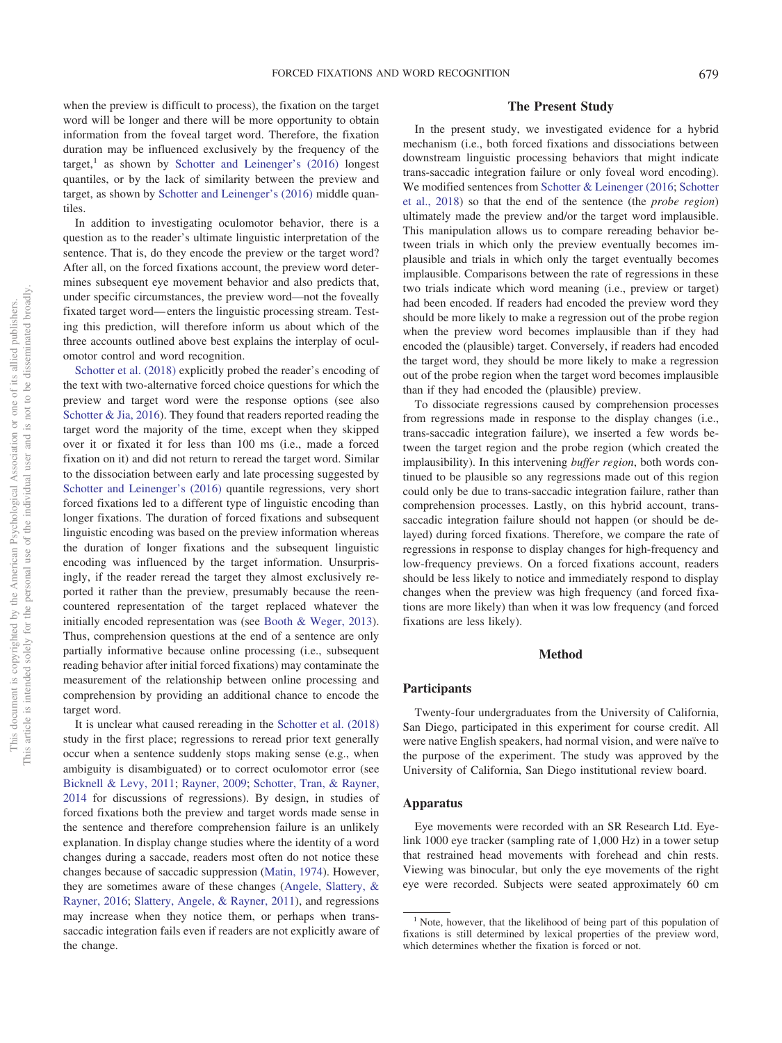when the preview is difficult to process), the fixation on the target word will be longer and there will be more opportunity to obtain information from the foveal target word. Therefore, the fixation duration may be influenced exclusively by the frequency of the target, $<sup>1</sup>$  as shown by [Schotter and Leinenger's \(2016\)](#page-10-0) longest</sup> quantiles, or by the lack of similarity between the preview and target, as shown by [Schotter and Leinenger's \(2016\)](#page-10-0) middle quantiles.

In addition to investigating oculomotor behavior, there is a question as to the reader's ultimate linguistic interpretation of the sentence. That is, do they encode the preview or the target word? After all, on the forced fixations account, the preview word determines subsequent eye movement behavior and also predicts that, under specific circumstances, the preview word—not the foveally fixated target word— enters the linguistic processing stream. Testing this prediction, will therefore inform us about which of the three accounts outlined above best explains the interplay of oculomotor control and word recognition.

[Schotter et al. \(2018\)](#page-10-6) explicitly probed the reader's encoding of the text with two-alternative forced choice questions for which the preview and target word were the response options (see also [Schotter & Jia, 2016\)](#page-10-4). They found that readers reported reading the target word the majority of the time, except when they skipped over it or fixated it for less than 100 ms (i.e., made a forced fixation on it) and did not return to reread the target word. Similar to the dissociation between early and late processing suggested by [Schotter and Leinenger's \(2016\)](#page-10-0) quantile regressions, very short forced fixations led to a different type of linguistic encoding than longer fixations. The duration of forced fixations and subsequent linguistic encoding was based on the preview information whereas the duration of longer fixations and the subsequent linguistic encoding was influenced by the target information. Unsurprisingly, if the reader reread the target they almost exclusively reported it rather than the preview, presumably because the reencountered representation of the target replaced whatever the initially encoded representation was (see [Booth & Weger, 2013\)](#page-9-11). Thus, comprehension questions at the end of a sentence are only partially informative because online processing (i.e., subsequent reading behavior after initial forced fixations) may contaminate the measurement of the relationship between online processing and comprehension by providing an additional chance to encode the target word.

It is unclear what caused rereading in the [Schotter et al. \(2018\)](#page-10-6) study in the first place; regressions to reread prior text generally occur when a sentence suddenly stops making sense (e.g., when ambiguity is disambiguated) or to correct oculomotor error (see [Bicknell & Levy, 2011;](#page-9-12) [Rayner, 2009;](#page-9-4) [Schotter, Tran, & Rayner,](#page-10-11) [2014](#page-10-11) for discussions of regressions). By design, in studies of forced fixations both the preview and target words made sense in the sentence and therefore comprehension failure is an unlikely explanation. In display change studies where the identity of a word changes during a saccade, readers most often do not notice these changes because of saccadic suppression [\(Matin, 1974\)](#page-9-3). However, they are sometimes aware of these changes [\(Angele, Slattery, &](#page-9-13) [Rayner, 2016;](#page-9-13) [Slattery, Angele, & Rayner, 2011\)](#page-10-12), and regressions may increase when they notice them, or perhaps when transsaccadic integration fails even if readers are not explicitly aware of the change.

# **The Present Study**

In the present study, we investigated evidence for a hybrid mechanism (i.e., both forced fixations and dissociations between downstream linguistic processing behaviors that might indicate trans-saccadic integration failure or only foveal word encoding). We modified sentences from [Schotter & Leinenger \(2016;](#page-10-0) [Schotter](#page-10-6) [et al., 2018\)](#page-10-6) so that the end of the sentence (the *probe region*) ultimately made the preview and/or the target word implausible. This manipulation allows us to compare rereading behavior between trials in which only the preview eventually becomes implausible and trials in which only the target eventually becomes implausible. Comparisons between the rate of regressions in these two trials indicate which word meaning (i.e., preview or target) had been encoded. If readers had encoded the preview word they should be more likely to make a regression out of the probe region when the preview word becomes implausible than if they had encoded the (plausible) target. Conversely, if readers had encoded the target word, they should be more likely to make a regression out of the probe region when the target word becomes implausible than if they had encoded the (plausible) preview.

To dissociate regressions caused by comprehension processes from regressions made in response to the display changes (i.e., trans-saccadic integration failure), we inserted a few words between the target region and the probe region (which created the implausibility). In this intervening *buffer region*, both words continued to be plausible so any regressions made out of this region could only be due to trans-saccadic integration failure, rather than comprehension processes. Lastly, on this hybrid account, transsaccadic integration failure should not happen (or should be delayed) during forced fixations. Therefore, we compare the rate of regressions in response to display changes for high-frequency and low-frequency previews. On a forced fixations account, readers should be less likely to notice and immediately respond to display changes when the preview was high frequency (and forced fixations are more likely) than when it was low frequency (and forced fixations are less likely).

## **Method**

## **Participants**

Twenty-four undergraduates from the University of California, San Diego, participated in this experiment for course credit. All were native English speakers, had normal vision, and were naïve to the purpose of the experiment. The study was approved by the University of California, San Diego institutional review board.

# **Apparatus**

Eye movements were recorded with an SR Research Ltd. Eyelink 1000 eye tracker (sampling rate of 1,000 Hz) in a tower setup that restrained head movements with forehead and chin rests. Viewing was binocular, but only the eye movements of the right eye were recorded. Subjects were seated approximately 60 cm

<sup>&</sup>lt;sup>1</sup> Note, however, that the likelihood of being part of this population of fixations is still determined by lexical properties of the preview word, which determines whether the fixation is forced or not.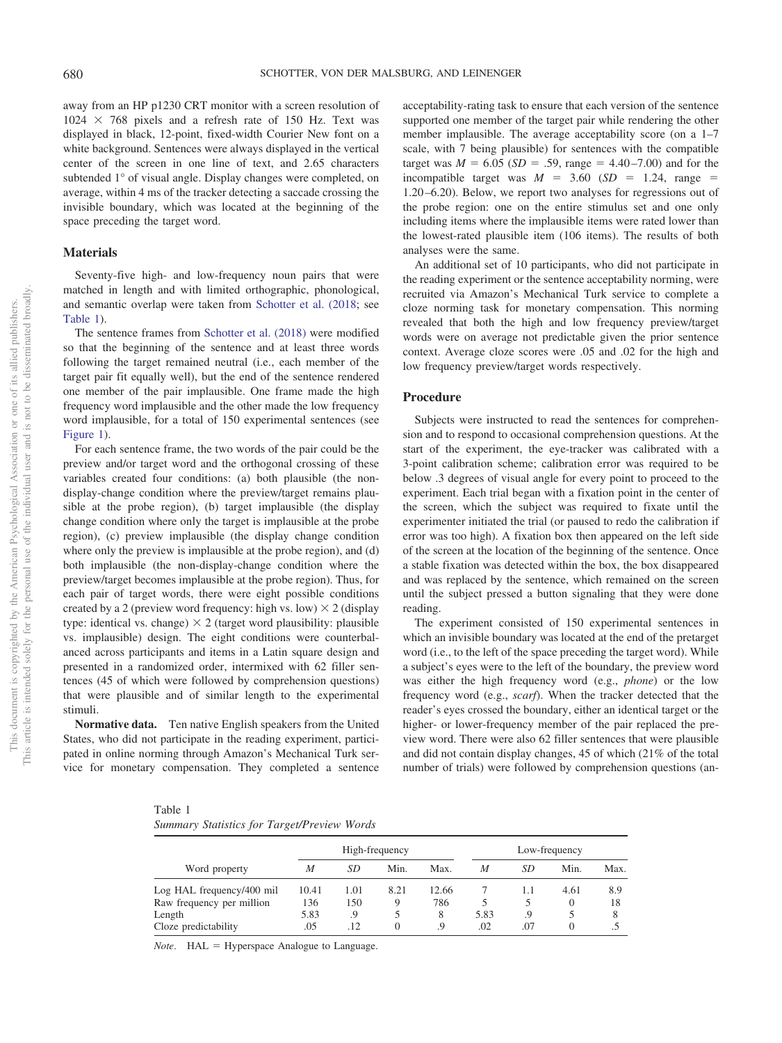away from an HP p1230 CRT monitor with a screen resolution of  $1024 \times 768$  pixels and a refresh rate of 150 Hz. Text was displayed in black, 12-point, fixed-width Courier New font on a white background. Sentences were always displayed in the vertical center of the screen in one line of text, and 2.65 characters subtended 1° of visual angle. Display changes were completed, on average, within 4 ms of the tracker detecting a saccade crossing the invisible boundary, which was located at the beginning of the space preceding the target word.

#### **Materials**

Seventy-five high- and low-frequency noun pairs that were matched in length and with limited orthographic, phonological, and semantic overlap were taken from [Schotter et al. \(2018;](#page-10-6) see [Table 1\)](#page-3-0).

The sentence frames from [Schotter et al. \(2018\)](#page-10-6) were modified so that the beginning of the sentence and at least three words following the target remained neutral (i.e., each member of the target pair fit equally well), but the end of the sentence rendered one member of the pair implausible. One frame made the high frequency word implausible and the other made the low frequency word implausible, for a total of 150 experimental sentences (see [Figure 1\)](#page-4-0).

For each sentence frame, the two words of the pair could be the preview and/or target word and the orthogonal crossing of these variables created four conditions: (a) both plausible (the nondisplay-change condition where the preview/target remains plausible at the probe region), (b) target implausible (the display change condition where only the target is implausible at the probe region), (c) preview implausible (the display change condition where only the preview is implausible at the probe region), and (d) both implausible (the non-display-change condition where the preview/target becomes implausible at the probe region). Thus, for each pair of target words, there were eight possible conditions created by a 2 (preview word frequency: high vs. low)  $\times$  2 (display type: identical vs. change)  $\times$  2 (target word plausibility: plausible vs. implausible) design. The eight conditions were counterbalanced across participants and items in a Latin square design and presented in a randomized order, intermixed with 62 filler sentences (45 of which were followed by comprehension questions) that were plausible and of similar length to the experimental stimuli.

**Normative data.** Ten native English speakers from the United States, who did not participate in the reading experiment, participated in online norming through Amazon's Mechanical Turk service for monetary compensation. They completed a sentence

acceptability-rating task to ensure that each version of the sentence supported one member of the target pair while rendering the other member implausible. The average acceptability score (on a 1–7 scale, with 7 being plausible) for sentences with the compatible target was  $M = 6.05$  (*SD* = .59, range = 4.40–7.00) and for the incompatible target was  $M = 3.60$  (*SD* = 1.24, range = 1.20 –6.20). Below, we report two analyses for regressions out of the probe region: one on the entire stimulus set and one only including items where the implausible items were rated lower than the lowest-rated plausible item (106 items). The results of both analyses were the same.

An additional set of 10 participants, who did not participate in the reading experiment or the sentence acceptability norming, were recruited via Amazon's Mechanical Turk service to complete a cloze norming task for monetary compensation. This norming revealed that both the high and low frequency preview/target words were on average not predictable given the prior sentence context. Average cloze scores were .05 and .02 for the high and low frequency preview/target words respectively.

# **Procedure**

Subjects were instructed to read the sentences for comprehension and to respond to occasional comprehension questions. At the start of the experiment, the eye-tracker was calibrated with a 3-point calibration scheme; calibration error was required to be below .3 degrees of visual angle for every point to proceed to the experiment. Each trial began with a fixation point in the center of the screen, which the subject was required to fixate until the experimenter initiated the trial (or paused to redo the calibration if error was too high). A fixation box then appeared on the left side of the screen at the location of the beginning of the sentence. Once a stable fixation was detected within the box, the box disappeared and was replaced by the sentence, which remained on the screen until the subject pressed a button signaling that they were done reading.

The experiment consisted of 150 experimental sentences in which an invisible boundary was located at the end of the pretarget word (i.e., to the left of the space preceding the target word). While a subject's eyes were to the left of the boundary, the preview word was either the high frequency word (e.g., *phone*) or the low frequency word (e.g., *scarf*). When the tracker detected that the reader's eyes crossed the boundary, either an identical target or the higher- or lower-frequency member of the pair replaced the preview word. There were also 62 filler sentences that were plausible and did not contain display changes, 45 of which (21% of the total number of trials) were followed by comprehension questions (an-

<span id="page-3-0"></span>Table 1 *Summary Statistics for Target/Preview Words*

|                           |       |      | High-frequency   |       | Low-frequency |     |          |      |
|---------------------------|-------|------|------------------|-------|---------------|-----|----------|------|
| Word property             | M     | SD   | Min.             | Max.  | M             | SD  | Min.     | Max. |
| Log HAL frequency/400 mil | 10.41 | 1.01 | 8.21             | 12.66 |               | 1.1 | 4.61     | 8.9  |
| Raw frequency per million | 136   | 150  | 9                | 786   |               |     | $\theta$ | 18   |
| Length                    | 5.83  | .9   |                  | 8     | 5.83          | .9  |          |      |
| Cloze predictability      | .05   | .12  | $\left( \right)$ | .9    | .02           | .07 | $\theta$ |      |

*Note.* HAL = Hyperspace Analogue to Language.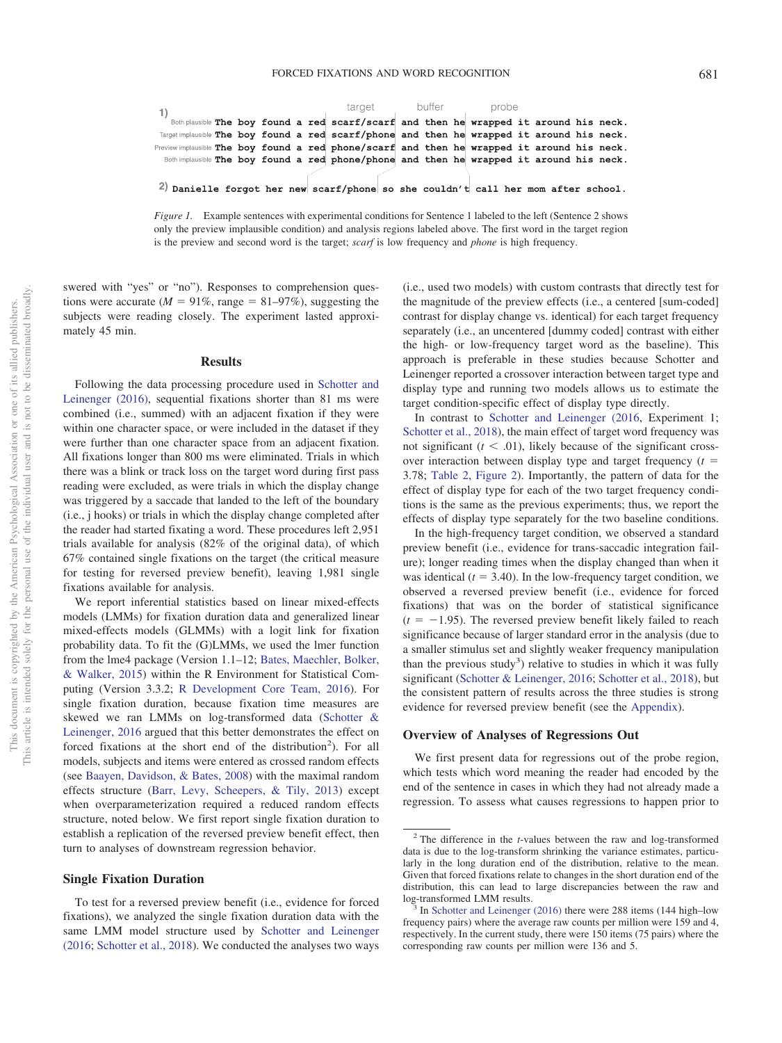|                                                                                             |  | target |  | buffer |  | probe |  |                                                                                        |  |  |  |
|---------------------------------------------------------------------------------------------|--|--------|--|--------|--|-------|--|----------------------------------------------------------------------------------------|--|--|--|
|                                                                                             |  |        |  |        |  |       |  | Both plausible The boy found a red scarf/scarf and then he wrapped it around his neck. |  |  |  |
| Target implausible The boy found a red scarf/phone and then he wrapped it around his neck.  |  |        |  |        |  |       |  |                                                                                        |  |  |  |
| Preview implausible The boy found a red phone/scarf and then he wrapped it around his neck. |  |        |  |        |  |       |  |                                                                                        |  |  |  |
| Both implausible The boy found a red phone/phone and then he wrapped it around his neck.    |  |        |  |        |  |       |  |                                                                                        |  |  |  |
|                                                                                             |  |        |  |        |  |       |  |                                                                                        |  |  |  |
| 2) Danielle forgot her new scarf/phone so she couldn't call her mom after school.           |  |        |  |        |  |       |  |                                                                                        |  |  |  |

<span id="page-4-0"></span>*Figure 1.* Example sentences with experimental conditions for Sentence 1 labeled to the left (Sentence 2 shows only the preview implausible condition) and analysis regions labeled above. The first word in the target region is the preview and second word is the target; *scarf* is low frequency and *phone* is high frequency.

swered with "yes" or "no"). Responses to comprehension questions were accurate ( $M = 91\%$ , range = 81–97%), suggesting the subjects were reading closely. The experiment lasted approximately 45 min.

#### **Results**

Following the data processing procedure used in [Schotter and](#page-10-0) [Leinenger \(2016\),](#page-10-0) sequential fixations shorter than 81 ms were combined (i.e., summed) with an adjacent fixation if they were within one character space, or were included in the dataset if they were further than one character space from an adjacent fixation. All fixations longer than 800 ms were eliminated. Trials in which there was a blink or track loss on the target word during first pass reading were excluded, as were trials in which the display change was triggered by a saccade that landed to the left of the boundary (i.e., j hooks) or trials in which the display change completed after the reader had started fixating a word. These procedures left 2,951 trials available for analysis (82% of the original data), of which 67% contained single fixations on the target (the critical measure for testing for reversed preview benefit), leaving 1,981 single fixations available for analysis.

We report inferential statistics based on linear mixed-effects models (LMMs) for fixation duration data and generalized linear mixed-effects models (GLMMs) with a logit link for fixation probability data. To fit the (G)LMMs, we used the lmer function from the lme4 package (Version 1.1–12; [Bates, Maechler, Bolker,](#page-9-14) [& Walker, 2015\)](#page-9-14) within the R Environment for Statistical Computing (Version 3.3.2; [R Development Core Team, 2016\)](#page-9-15). For single fixation duration, because fixation time measures are skewed we ran LMMs on log-transformed data [\(Schotter &](#page-10-0) [Leinenger, 2016](#page-10-0) argued that this better demonstrates the effect on forced fixations at the short end of the distribution<sup>2</sup>). For all models, subjects and items were entered as crossed random effects (see [Baayen, Davidson, & Bates, 2008\)](#page-9-16) with the maximal random effects structure [\(Barr, Levy, Scheepers, & Tily, 2013\)](#page-9-17) except when overparameterization required a reduced random effects structure, noted below. We first report single fixation duration to establish a replication of the reversed preview benefit effect, then turn to analyses of downstream regression behavior.

## **Single Fixation Duration**

To test for a reversed preview benefit (i.e., evidence for forced fixations), we analyzed the single fixation duration data with the same LMM model structure used by [Schotter and Leinenger](#page-10-0) [\(2016;](#page-10-0) [Schotter et al., 2018\)](#page-10-6). We conducted the analyses two ways

(i.e., used two models) with custom contrasts that directly test for the magnitude of the preview effects (i.e., a centered [sum-coded] contrast for display change vs. identical) for each target frequency separately (i.e., an uncentered [dummy coded] contrast with either the high- or low-frequency target word as the baseline). This approach is preferable in these studies because Schotter and Leinenger reported a crossover interaction between target type and display type and running two models allows us to estimate the target condition-specific effect of display type directly.

In contrast to [Schotter and Leinenger \(2016,](#page-10-0) Experiment 1; [Schotter et al., 2018\)](#page-10-6), the main effect of target word frequency was not significant  $(t < .01)$ , likely because of the significant crossover interaction between display type and target frequency (*t* 3.78; [Table 2,](#page-5-0) [Figure 2\)](#page-5-1). Importantly, the pattern of data for the effect of display type for each of the two target frequency conditions is the same as the previous experiments; thus, we report the effects of display type separately for the two baseline conditions.

In the high-frequency target condition, we observed a standard preview benefit (i.e., evidence for trans-saccadic integration failure); longer reading times when the display changed than when it was identical  $(t = 3.40)$ . In the low-frequency target condition, we observed a reversed preview benefit (i.e., evidence for forced fixations) that was on the border of statistical significance  $(t = -1.95)$ . The reversed preview benefit likely failed to reach significance because of larger standard error in the analysis (due to a smaller stimulus set and slightly weaker frequency manipulation than the previous study<sup>3</sup>) relative to studies in which it was fully significant [\(Schotter & Leinenger, 2016;](#page-10-0) [Schotter et al., 2018\)](#page-10-6), but the consistent pattern of results across the three studies is strong evidence for reversed preview benefit (see the [Appendix\)](#page-11-0).

#### **Overview of Analyses of Regressions Out**

We first present data for regressions out of the probe region, which tests which word meaning the reader had encoded by the end of the sentence in cases in which they had not already made a regression. To assess what causes regressions to happen prior to

<sup>2</sup> The difference in the *t*-values between the raw and log-transformed data is due to the log-transform shrinking the variance estimates, particularly in the long duration end of the distribution, relative to the mean. Given that forced fixations relate to changes in the short duration end of the distribution, this can lead to large discrepancies between the raw and log-transformed LMM results.

In [Schotter and Leinenger \(2016\)](#page-10-0) there were 288 items (144 high–low frequency pairs) where the average raw counts per million were 159 and 4, respectively. In the current study, there were 150 items (75 pairs) where the corresponding raw counts per million were 136 and 5.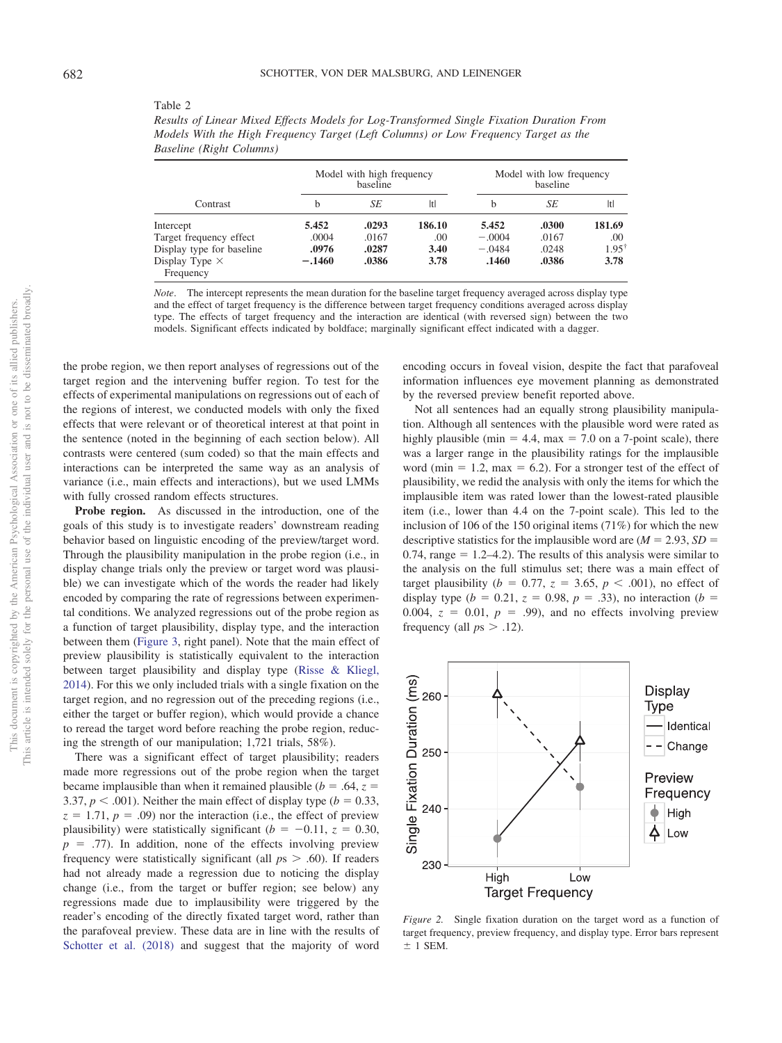| Results of Linear Mixed Effects Models for Log-Transformed Single Fixation Duration From |
|------------------------------------------------------------------------------------------|
| Models With the High Frequency Target (Left Columns) or Low Frequency Target as the      |
| Baseline (Right Columns)                                                                 |
|                                                                                          |

| Contrast                  |          | Model with high frequency<br>baseline |        | Model with low frequency<br>baseline |       |        |  |
|---------------------------|----------|---------------------------------------|--------|--------------------------------------|-------|--------|--|
|                           | h        | SE                                    | Itl    | h                                    | SE    | ltl    |  |
| Intercept                 | 5.452    | .0293                                 | 186.10 | 5.452                                | .0300 | 181.69 |  |
| Target frequency effect   | .0004    | .0167                                 | .00.   | $-.0004$                             | .0167 | .00    |  |
| Display type for baseline | .0976    | .0287                                 | 3.40   | $-.0484$                             | .0248 | 1.95   |  |
| Display Type $\times$     | $-.1460$ | .0386                                 | 3.78   | .1460                                | .0386 | 3.78   |  |
| Frequency                 |          |                                       |        |                                      |       |        |  |

*Note*. The intercept represents the mean duration for the baseline target frequency averaged across display type and the effect of target frequency is the difference between target frequency conditions averaged across display type. The effects of target frequency and the interaction are identical (with reversed sign) between the two models. Significant effects indicated by boldface; marginally significant effect indicated with a dagger.

the probe region, we then report analyses of regressions out of the target region and the intervening buffer region. To test for the effects of experimental manipulations on regressions out of each of the regions of interest, we conducted models with only the fixed effects that were relevant or of theoretical interest at that point in the sentence (noted in the beginning of each section below). All contrasts were centered (sum coded) so that the main effects and interactions can be interpreted the same way as an analysis of variance (i.e., main effects and interactions), but we used LMMs with fully crossed random effects structures.

**Probe region.** As discussed in the introduction, one of the goals of this study is to investigate readers' downstream reading behavior based on linguistic encoding of the preview/target word. Through the plausibility manipulation in the probe region (i.e., in display change trials only the preview or target word was plausible) we can investigate which of the words the reader had likely encoded by comparing the rate of regressions between experimental conditions. We analyzed regressions out of the probe region as a function of target plausibility, display type, and the interaction between them [\(Figure 3,](#page-6-0) right panel). Note that the main effect of preview plausibility is statistically equivalent to the interaction between target plausibility and display type [\(Risse & Kliegl,](#page-10-9) [2014\)](#page-10-9). For this we only included trials with a single fixation on the target region, and no regression out of the preceding regions (i.e., either the target or buffer region), which would provide a chance to reread the target word before reaching the probe region, reducing the strength of our manipulation; 1,721 trials, 58%).

There was a significant effect of target plausibility; readers made more regressions out of the probe region when the target became implausible than when it remained plausible ( $b = .64$ ,  $z =$ 3.37,  $p < .001$ ). Neither the main effect of display type ( $b = 0.33$ ,  $z = 1.71$ ,  $p = .09$ ) nor the interaction (i.e., the effect of preview plausibility) were statistically significant ( $b = -0.11$ ,  $z = 0.30$ ,  $p = .77$ ). In addition, none of the effects involving preview frequency were statistically significant (all  $ps > .60$ ). If readers had not already made a regression due to noticing the display change (i.e., from the target or buffer region; see below) any regressions made due to implausibility were triggered by the reader's encoding of the directly fixated target word, rather than the parafoveal preview. These data are in line with the results of [Schotter et al. \(2018\)](#page-10-6) and suggest that the majority of word encoding occurs in foveal vision, despite the fact that parafoveal information influences eye movement planning as demonstrated by the reversed preview benefit reported above.

Not all sentences had an equally strong plausibility manipulation. Although all sentences with the plausible word were rated as highly plausible (min  $= 4.4$ , max  $= 7.0$  on a 7-point scale), there was a larger range in the plausibility ratings for the implausible word (min  $= 1.2$ , max  $= 6.2$ ). For a stronger test of the effect of plausibility, we redid the analysis with only the items for which the implausible item was rated lower than the lowest-rated plausible item (i.e., lower than 4.4 on the 7-point scale). This led to the inclusion of 106 of the 150 original items (71%) for which the new descriptive statistics for the implausible word are  $(M = 2.93, SD =$ 0.74, range  $= 1.2 - 4.2$ ). The results of this analysis were similar to the analysis on the full stimulus set; there was a main effect of target plausibility ( $b = 0.77$ ,  $z = 3.65$ ,  $p < .001$ ), no effect of display type ( $b = 0.21$ ,  $z = 0.98$ ,  $p = .33$ ), no interaction ( $b =$ 0.004,  $z = 0.01$ ,  $p = .99$ ), and no effects involving preview frequency (all  $ps > .12$ ).



<span id="page-5-1"></span>*Figure 2.* Single fixation duration on the target word as a function of target frequency, preview frequency, and display type. Error bars represent  $+ 1$  SEM.

<span id="page-5-0"></span>Table 2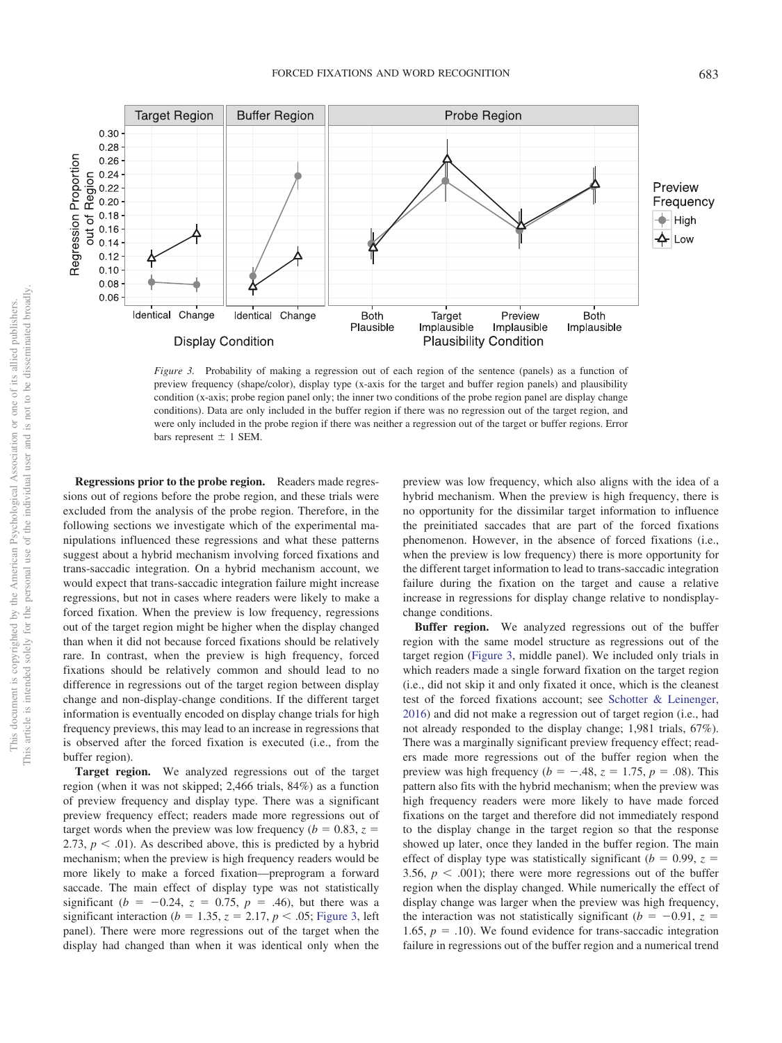

<span id="page-6-0"></span>*Figure 3.* Probability of making a regression out of each region of the sentence (panels) as a function of preview frequency (shape/color), display type (x-axis for the target and buffer region panels) and plausibility condition (x-axis; probe region panel only; the inner two conditions of the probe region panel are display change conditions). Data are only included in the buffer region if there was no regression out of the target region, and were only included in the probe region if there was neither a regression out of the target or buffer regions. Error bars represent  $\pm$  1 SEM.

**Regressions prior to the probe region.** Readers made regressions out of regions before the probe region, and these trials were excluded from the analysis of the probe region. Therefore, in the following sections we investigate which of the experimental manipulations influenced these regressions and what these patterns suggest about a hybrid mechanism involving forced fixations and trans-saccadic integration. On a hybrid mechanism account, we would expect that trans-saccadic integration failure might increase regressions, but not in cases where readers were likely to make a forced fixation. When the preview is low frequency, regressions out of the target region might be higher when the display changed than when it did not because forced fixations should be relatively rare. In contrast, when the preview is high frequency, forced fixations should be relatively common and should lead to no difference in regressions out of the target region between display change and non-display-change conditions. If the different target information is eventually encoded on display change trials for high frequency previews, this may lead to an increase in regressions that is observed after the forced fixation is executed (i.e., from the buffer region).

**Target region.** We analyzed regressions out of the target region (when it was not skipped; 2,466 trials, 84%) as a function of preview frequency and display type. There was a significant preview frequency effect; readers made more regressions out of target words when the preview was low frequency ( $b = 0.83$ ,  $z =$ 2.73,  $p < .01$ ). As described above, this is predicted by a hybrid mechanism; when the preview is high frequency readers would be more likely to make a forced fixation—preprogram a forward saccade. The main effect of display type was not statistically significant ( $b = -0.24$ ,  $z = 0.75$ ,  $p = .46$ ), but there was a significant interaction ( $b = 1.35$ ,  $z = 2.17$ ,  $p < .05$ ; [Figure 3,](#page-6-0) left panel). There were more regressions out of the target when the display had changed than when it was identical only when the

preview was low frequency, which also aligns with the idea of a hybrid mechanism. When the preview is high frequency, there is no opportunity for the dissimilar target information to influence the preinitiated saccades that are part of the forced fixations phenomenon. However, in the absence of forced fixations (i.e., when the preview is low frequency) there is more opportunity for the different target information to lead to trans-saccadic integration failure during the fixation on the target and cause a relative increase in regressions for display change relative to nondisplaychange conditions.

**Buffer region.** We analyzed regressions out of the buffer region with the same model structure as regressions out of the target region [\(Figure 3,](#page-6-0) middle panel). We included only trials in which readers made a single forward fixation on the target region (i.e., did not skip it and only fixated it once, which is the cleanest test of the forced fixations account; see [Schotter & Leinenger,](#page-10-0) [2016\)](#page-10-0) and did not make a regression out of target region (i.e., had not already responded to the display change; 1,981 trials, 67%). There was a marginally significant preview frequency effect; readers made more regressions out of the buffer region when the preview was high frequency ( $b = -.48$ ,  $z = 1.75$ ,  $p = .08$ ). This pattern also fits with the hybrid mechanism; when the preview was high frequency readers were more likely to have made forced fixations on the target and therefore did not immediately respond to the display change in the target region so that the response showed up later, once they landed in the buffer region. The main effect of display type was statistically significant ( $b = 0.99$ ,  $z =$ 3.56,  $p < .001$ ); there were more regressions out of the buffer region when the display changed. While numerically the effect of display change was larger when the preview was high frequency, the interaction was not statistically significant ( $b = -0.91$ ,  $z =$ 1.65,  $p = .10$ ). We found evidence for trans-saccadic integration failure in regressions out of the buffer region and a numerical trend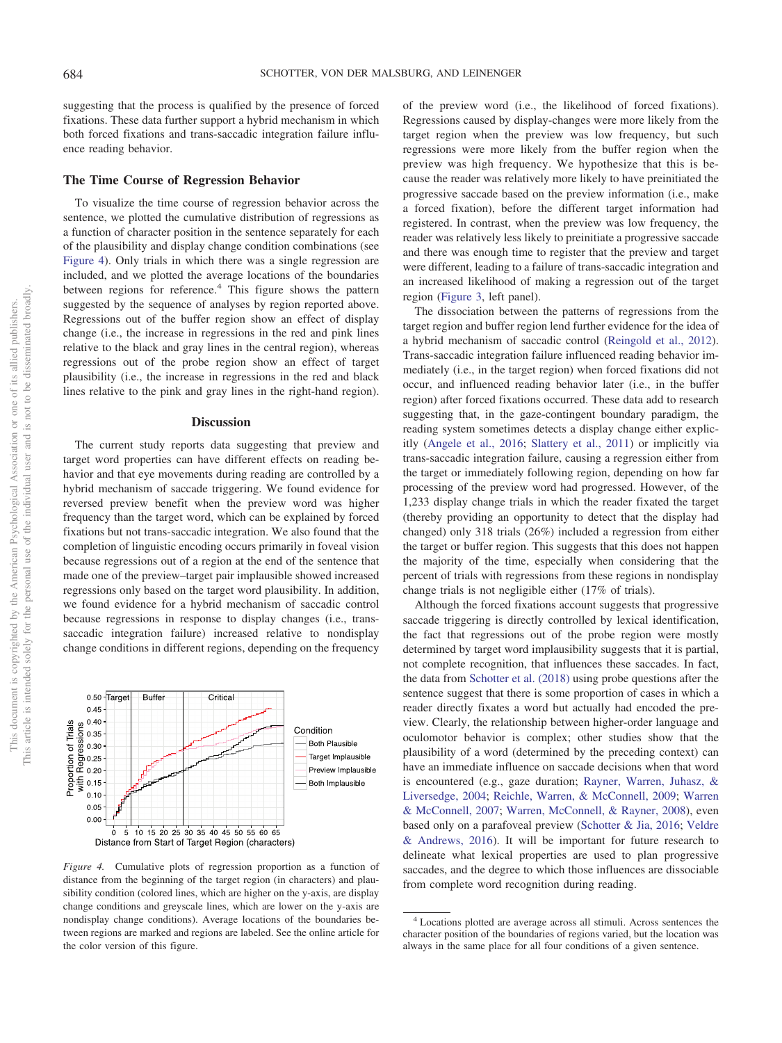suggesting that the process is qualified by the presence of forced fixations. These data further support a hybrid mechanism in which both forced fixations and trans-saccadic integration failure influence reading behavior.

## **The Time Course of Regression Behavior**

To visualize the time course of regression behavior across the sentence, we plotted the cumulative distribution of regressions as a function of character position in the sentence separately for each of the plausibility and display change condition combinations (see [Figure 4\)](#page-7-0). Only trials in which there was a single regression are included, and we plotted the average locations of the boundaries between regions for reference.<sup>4</sup> This figure shows the pattern suggested by the sequence of analyses by region reported above. Regressions out of the buffer region show an effect of display change (i.e., the increase in regressions in the red and pink lines relative to the black and gray lines in the central region), whereas regressions out of the probe region show an effect of target plausibility (i.e., the increase in regressions in the red and black lines relative to the pink and gray lines in the right-hand region).

## **Discussion**

The current study reports data suggesting that preview and target word properties can have different effects on reading behavior and that eye movements during reading are controlled by a hybrid mechanism of saccade triggering. We found evidence for reversed preview benefit when the preview word was higher frequency than the target word, which can be explained by forced fixations but not trans-saccadic integration. We also found that the completion of linguistic encoding occurs primarily in foveal vision because regressions out of a region at the end of the sentence that made one of the preview–target pair implausible showed increased regressions only based on the target word plausibility. In addition, we found evidence for a hybrid mechanism of saccadic control because regressions in response to display changes (i.e., transsaccadic integration failure) increased relative to nondisplay change conditions in different regions, depending on the frequency



<span id="page-7-0"></span>*Figure 4.* Cumulative plots of regression proportion as a function of distance from the beginning of the target region (in characters) and plausibility condition (colored lines, which are higher on the y-axis, are display change conditions and greyscale lines, which are lower on the y-axis are nondisplay change conditions). Average locations of the boundaries between regions are marked and regions are labeled. See the online article for the color version of this figure.

of the preview word (i.e., the likelihood of forced fixations). Regressions caused by display-changes were more likely from the target region when the preview was low frequency, but such regressions were more likely from the buffer region when the preview was high frequency. We hypothesize that this is because the reader was relatively more likely to have preinitiated the progressive saccade based on the preview information (i.e., make a forced fixation), before the different target information had registered. In contrast, when the preview was low frequency, the reader was relatively less likely to preinitiate a progressive saccade and there was enough time to register that the preview and target were different, leading to a failure of trans-saccadic integration and an increased likelihood of making a regression out of the target region [\(Figure 3,](#page-6-0) left panel).

The dissociation between the patterns of regressions from the target region and buffer region lend further evidence for the idea of a hybrid mechanism of saccadic control [\(Reingold et al., 2012\)](#page-10-1). Trans-saccadic integration failure influenced reading behavior immediately (i.e., in the target region) when forced fixations did not occur, and influenced reading behavior later (i.e., in the buffer region) after forced fixations occurred. These data add to research suggesting that, in the gaze-contingent boundary paradigm, the reading system sometimes detects a display change either explicitly [\(Angele et al., 2016;](#page-9-13) [Slattery et al., 2011\)](#page-10-12) or implicitly via trans-saccadic integration failure, causing a regression either from the target or immediately following region, depending on how far processing of the preview word had progressed. However, of the 1,233 display change trials in which the reader fixated the target (thereby providing an opportunity to detect that the display had changed) only 318 trials (26%) included a regression from either the target or buffer region. This suggests that this does not happen the majority of the time, especially when considering that the percent of trials with regressions from these regions in nondisplay change trials is not negligible either (17% of trials).

Although the forced fixations account suggests that progressive saccade triggering is directly controlled by lexical identification, the fact that regressions out of the probe region were mostly determined by target word implausibility suggests that it is partial, not complete recognition, that influences these saccades. In fact, the data from [Schotter et al. \(2018\)](#page-10-6) using probe questions after the sentence suggest that there is some proportion of cases in which a reader directly fixates a word but actually had encoded the preview. Clearly, the relationship between higher-order language and oculomotor behavior is complex; other studies show that the plausibility of a word (determined by the preceding context) can have an immediate influence on saccade decisions when that word is encountered (e.g., gaze duration; [Rayner, Warren, Juhasz, &](#page-9-18) [Liversedge, 2004;](#page-9-18) [Reichle, Warren, & McConnell, 2009;](#page-10-13) [Warren](#page-10-14) [& McConnell, 2007;](#page-10-14) [Warren, McConnell, & Rayner, 2008\)](#page-10-15), even based only on a parafoveal preview [\(Schotter & Jia, 2016;](#page-10-4) [Veldre](#page-10-5) [& Andrews, 2016\)](#page-10-5). It will be important for future research to delineate what lexical properties are used to plan progressive saccades, and the degree to which those influences are dissociable from complete word recognition during reading.

<sup>4</sup> Locations plotted are average across all stimuli. Across sentences the character position of the boundaries of regions varied, but the location was always in the same place for all four conditions of a given sentence.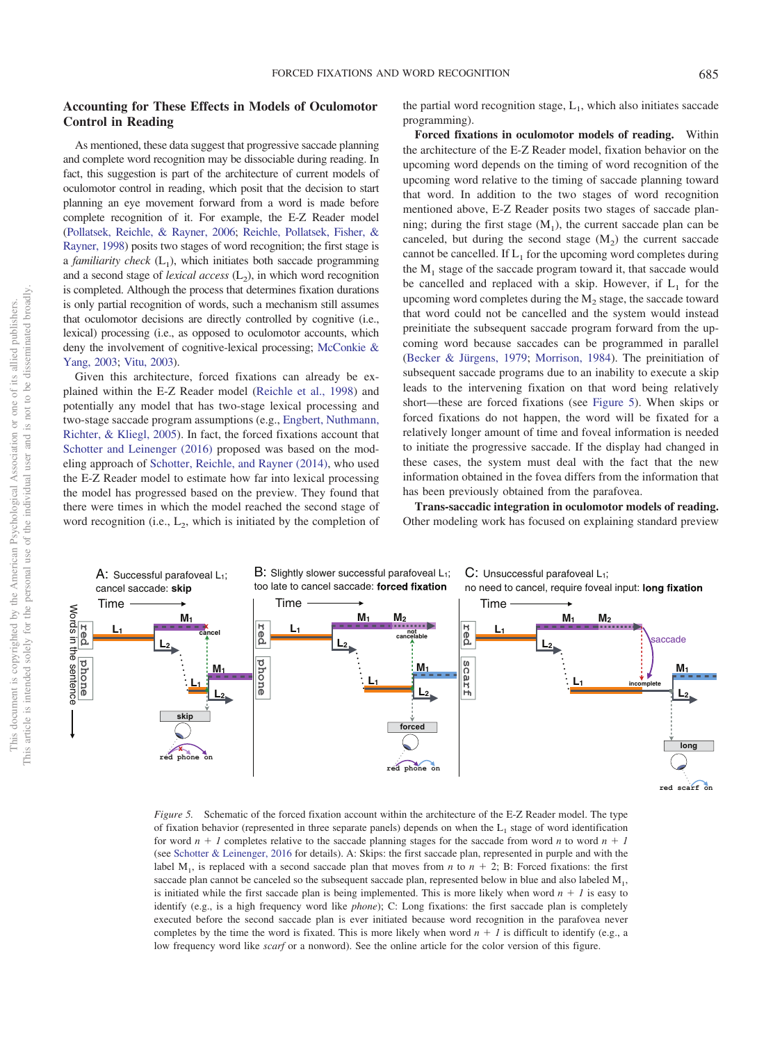# **Accounting for These Effects in Models of Oculomotor Control in Reading**

As mentioned, these data suggest that progressive saccade planning and complete word recognition may be dissociable during reading. In fact, this suggestion is part of the architecture of current models of oculomotor control in reading, which posit that the decision to start planning an eye movement forward from a word is made before complete recognition of it. For example, the E-Z Reader model [\(Pollatsek, Reichle, & Rayner, 2006;](#page-9-19) [Reichle, Pollatsek, Fisher, &](#page-9-20) [Rayner, 1998\)](#page-9-20) posits two stages of word recognition; the first stage is a *familiarity check*  $(L_1)$ , which initiates both saccade programming and a second stage of *lexical access*  $(L_2)$ , in which word recognition is completed. Although the process that determines fixation durations is only partial recognition of words, such a mechanism still assumes that oculomotor decisions are directly controlled by cognitive (i.e., lexical) processing (i.e., as opposed to oculomotor accounts, which deny the involvement of cognitive-lexical processing; [McConkie &](#page-9-9) [Yang, 2003;](#page-9-9) [Vitu, 2003\)](#page-10-7).

Given this architecture, forced fixations can already be explained within the E-Z Reader model [\(Reichle et al., 1998\)](#page-9-20) and potentially any model that has two-stage lexical processing and two-stage saccade program assumptions (e.g., [Engbert, Nuthmann,](#page-9-21) [Richter, & Kliegl, 2005\)](#page-9-21). In fact, the forced fixations account that [Schotter and Leinenger \(2016\)](#page-10-0) proposed was based on the modeling approach of [Schotter, Reichle, and Rayner \(2014\),](#page-10-16) who used the E-Z Reader model to estimate how far into lexical processing the model has progressed based on the preview. They found that there were times in which the model reached the second stage of word recognition (i.e.,  $L_2$ , which is initiated by the completion of

the partial word recognition stage,  $L_1$ , which also initiates saccade programming).

**Forced fixations in oculomotor models of reading.** Within the architecture of the E-Z Reader model, fixation behavior on the upcoming word depends on the timing of word recognition of the upcoming word relative to the timing of saccade planning toward that word. In addition to the two stages of word recognition mentioned above, E-Z Reader posits two stages of saccade planning; during the first stage  $(M_1)$ , the current saccade plan can be canceled, but during the second stage  $(M<sub>2</sub>)$  the current saccade cannot be cancelled. If  $L_1$  for the upcoming word completes during the  $M<sub>1</sub>$  stage of the saccade program toward it, that saccade would be cancelled and replaced with a skip. However, if  $L_1$  for the upcoming word completes during the  $M<sub>2</sub>$  stage, the saccade toward that word could not be cancelled and the system would instead preinitiate the subsequent saccade program forward from the upcoming word because saccades can be programmed in parallel [\(Becker & Jürgens, 1979;](#page-9-22) [Morrison, 1984\)](#page-9-8). The preinitiation of subsequent saccade programs due to an inability to execute a skip leads to the intervening fixation on that word being relatively short—these are forced fixations (see [Figure 5\)](#page-8-0). When skips or forced fixations do not happen, the word will be fixated for a relatively longer amount of time and foveal information is needed to initiate the progressive saccade. If the display had changed in these cases, the system must deal with the fact that the new information obtained in the fovea differs from the information that has been previously obtained from the parafovea.

**Trans-saccadic integration in oculomotor models of reading.** Other modeling work has focused on explaining standard preview



<span id="page-8-0"></span>*Figure 5.* Schematic of the forced fixation account within the architecture of the E-Z Reader model. The type of fixation behavior (represented in three separate panels) depends on when the  $L_1$  stage of word identification for word  $n + 1$  completes relative to the saccade planning stages for the saccade from word *n* to word  $n + 1$ (see [Schotter & Leinenger, 2016](#page-10-0) for details). A: Skips: the first saccade plan, represented in purple and with the label  $M_1$ , is replaced with a second saccade plan that moves from *n* to  $n + 2$ ; B: Forced fixations: the first saccade plan cannot be canceled so the subsequent saccade plan, represented below in blue and also labeled  $M_1$ , is initiated while the first saccade plan is being implemented. This is more likely when word  $n + 1$  is easy to identify (e.g., is a high frequency word like *phone*); C: Long fixations: the first saccade plan is completely executed before the second saccade plan is ever initiated because word recognition in the parafovea never completes by the time the word is fixated. This is more likely when word  $n + 1$  is difficult to identify (e.g., a low frequency word like *scarf* or a nonword). See the online article for the color version of this figure.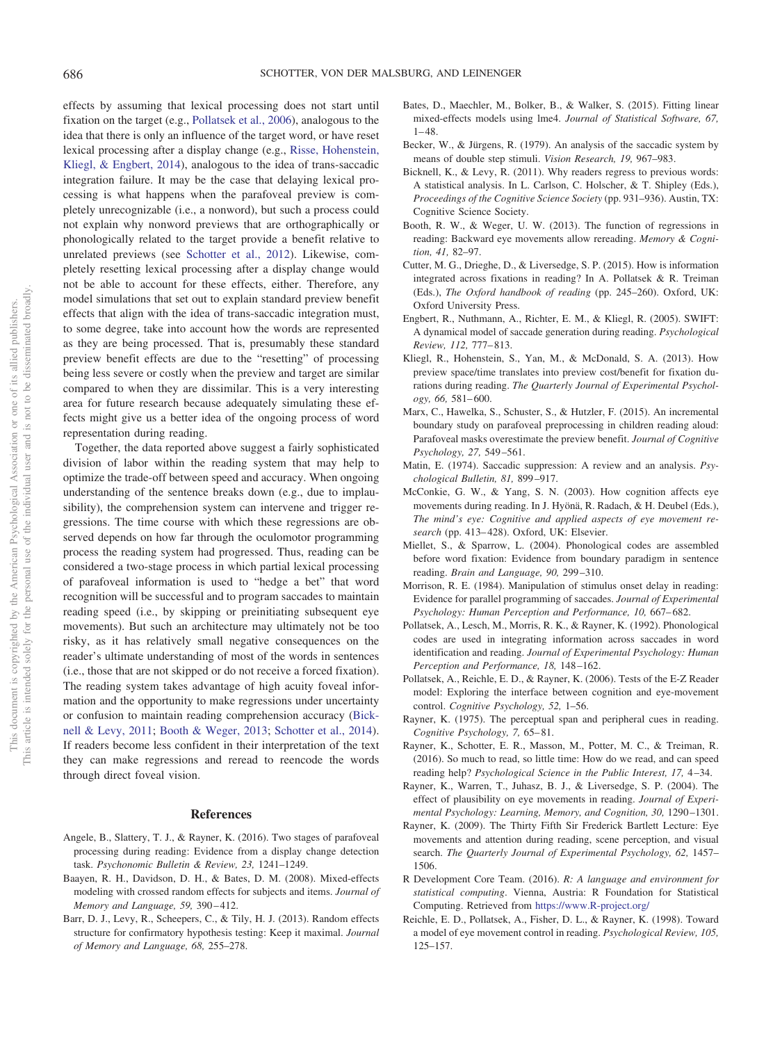effects by assuming that lexical processing does not start until fixation on the target (e.g., [Pollatsek et al., 2006\)](#page-9-19), analogous to the idea that there is only an influence of the target word, or have reset lexical processing after a display change (e.g., [Risse, Hohenstein,](#page-10-17) [Kliegl, & Engbert, 2014\)](#page-10-17), analogous to the idea of trans-saccadic integration failure. It may be the case that delaying lexical processing is what happens when the parafoveal preview is completely unrecognizable (i.e., a nonword), but such a process could not explain why nonword previews that are orthographically or phonologically related to the target provide a benefit relative to unrelated previews (see [Schotter et al., 2012\)](#page-10-2). Likewise, completely resetting lexical processing after a display change would not be able to account for these effects, either. Therefore, any model simulations that set out to explain standard preview benefit effects that align with the idea of trans-saccadic integration must, to some degree, take into account how the words are represented as they are being processed. That is, presumably these standard preview benefit effects are due to the "resetting" of processing being less severe or costly when the preview and target are similar compared to when they are dissimilar. This is a very interesting area for future research because adequately simulating these effects might give us a better idea of the ongoing process of word representation during reading.

Together, the data reported above suggest a fairly sophisticated division of labor within the reading system that may help to optimize the trade-off between speed and accuracy. When ongoing understanding of the sentence breaks down (e.g., due to implausibility), the comprehension system can intervene and trigger regressions. The time course with which these regressions are observed depends on how far through the oculomotor programming process the reading system had progressed. Thus, reading can be considered a two-stage process in which partial lexical processing of parafoveal information is used to "hedge a bet" that word recognition will be successful and to program saccades to maintain reading speed (i.e., by skipping or preinitiating subsequent eye movements). But such an architecture may ultimately not be too risky, as it has relatively small negative consequences on the reader's ultimate understanding of most of the words in sentences (i.e., those that are not skipped or do not receive a forced fixation). The reading system takes advantage of high acuity foveal information and the opportunity to make regressions under uncertainty or confusion to maintain reading comprehension accuracy [\(Bick](#page-9-12)[nell & Levy, 2011;](#page-9-12) [Booth & Weger, 2013;](#page-9-11) [Schotter et al., 2014\)](#page-10-16). If readers become less confident in their interpretation of the text they can make regressions and reread to reencode the words through direct foveal vision.

## **References**

- <span id="page-9-13"></span>Angele, B., Slattery, T. J., & Rayner, K. (2016). Two stages of parafoveal processing during reading: Evidence from a display change detection task. *Psychonomic Bulletin & Review, 23,* 1241–1249.
- <span id="page-9-16"></span>Baayen, R. H., Davidson, D. H., & Bates, D. M. (2008). Mixed-effects modeling with crossed random effects for subjects and items. *Journal of Memory and Language, 59,* 390 – 412.
- <span id="page-9-17"></span>Barr, D. J., Levy, R., Scheepers, C., & Tily, H. J. (2013). Random effects structure for confirmatory hypothesis testing: Keep it maximal. *Journal of Memory and Language, 68,* 255–278.
- <span id="page-9-14"></span>Bates, D., Maechler, M., Bolker, B., & Walker, S. (2015). Fitting linear mixed-effects models using lme4. *Journal of Statistical Software, 67,*  $1 - 48.$
- <span id="page-9-22"></span>Becker, W., & Jürgens, R. (1979). An analysis of the saccadic system by means of double step stimuli. *Vision Research, 19,* 967–983.
- <span id="page-9-12"></span>Bicknell, K., & Levy, R. (2011). Why readers regress to previous words: A statistical analysis. In L. Carlson, C. Holscher, & T. Shipley (Eds.), *Proceedings of the Cognitive Science Society* (pp. 931–936). Austin, TX: Cognitive Science Society.
- <span id="page-9-11"></span>Booth, R. W., & Weger, U. W. (2013). The function of regressions in reading: Backward eye movements allow rereading. *Memory & Cognition, 41,* 82–97.
- <span id="page-9-0"></span>Cutter, M. G., Drieghe, D., & Liversedge, S. P. (2015). How is information integrated across fixations in reading? In A. Pollatsek & R. Treiman (Eds.), *The Oxford handbook of reading* (pp. 245–260). Oxford, UK: Oxford University Press.
- <span id="page-9-21"></span>Engbert, R., Nuthmann, A., Richter, E. M., & Kliegl, R. (2005). SWIFT: A dynamical model of saccade generation during reading. *Psychological Review, 112,* 777– 813.
- <span id="page-9-6"></span>Kliegl, R., Hohenstein, S., Yan, M., & McDonald, S. A. (2013). How preview space/time translates into preview cost/benefit for fixation durations during reading. *The Quarterly Journal of Experimental Psychology, 66,* 581– 600.
- <span id="page-9-7"></span>Marx, C., Hawelka, S., Schuster, S., & Hutzler, F. (2015). An incremental boundary study on parafoveal preprocessing in children reading aloud: Parafoveal masks overestimate the preview benefit. *Journal of Cognitive Psychology, 27,* 549 –561.
- <span id="page-9-3"></span>Matin, E. (1974). Saccadic suppression: A review and an analysis. *Psychological Bulletin, 81,* 899 –917.
- <span id="page-9-9"></span>McConkie, G. W., & Yang, S. N. (2003). How cognition affects eye movements during reading. In J. Hyönä, R. Radach, & H. Deubel (Eds.), *The mind's eye: Cognitive and applied aspects of eye movement research* (pp. 413– 428). Oxford, UK: Elsevier.
- <span id="page-9-10"></span>Miellet, S., & Sparrow, L. (2004). Phonological codes are assembled before word fixation: Evidence from boundary paradigm in sentence reading. *Brain and Language, 90,* 299 –310.
- <span id="page-9-8"></span>Morrison, R. E. (1984). Manipulation of stimulus onset delay in reading: Evidence for parallel programming of saccades. *Journal of Experimental Psychology: Human Perception and Performance, 10,* 667– 682.
- <span id="page-9-5"></span>Pollatsek, A., Lesch, M., Morris, R. K., & Rayner, K. (1992). Phonological codes are used in integrating information across saccades in word identification and reading. *Journal of Experimental Psychology: Human Perception and Performance, 18,* 148 –162.
- <span id="page-9-19"></span>Pollatsek, A., Reichle, E. D., & Rayner, K. (2006). Tests of the E-Z Reader model: Exploring the interface between cognition and eye-movement control. *Cognitive Psychology, 52,* 1–56.
- <span id="page-9-2"></span>Rayner, K. (1975). The perceptual span and peripheral cues in reading. *Cognitive Psychology, 7,* 65– 81.
- <span id="page-9-1"></span>Rayner, K., Schotter, E. R., Masson, M., Potter, M. C., & Treiman, R. (2016). So much to read, so little time: How do we read, and can speed reading help? *Psychological Science in the Public Interest, 17,* 4 –34.
- <span id="page-9-18"></span>Rayner, K., Warren, T., Juhasz, B. J., & Liversedge, S. P. (2004). The effect of plausibility on eye movements in reading. *Journal of Experimental Psychology: Learning, Memory, and Cognition, 30,* 1290 –1301.
- <span id="page-9-4"></span>Rayner, K. (2009). The Thirty Fifth Sir Frederick Bartlett Lecture: Eye movements and attention during reading, scene perception, and visual search. *The Quarterly Journal of Experimental Psychology, 62,* 1457– 1506.
- <span id="page-9-15"></span>R Development Core Team. (2016). *R: A language and environment for statistical computing*. Vienna, Austria: R Foundation for Statistical Computing. Retrieved from <https://www.R-project.org/>
- <span id="page-9-20"></span>Reichle, E. D., Pollatsek, A., Fisher, D. L., & Rayner, K. (1998). Toward a model of eye movement control in reading. *Psychological Review, 105,* 125–157.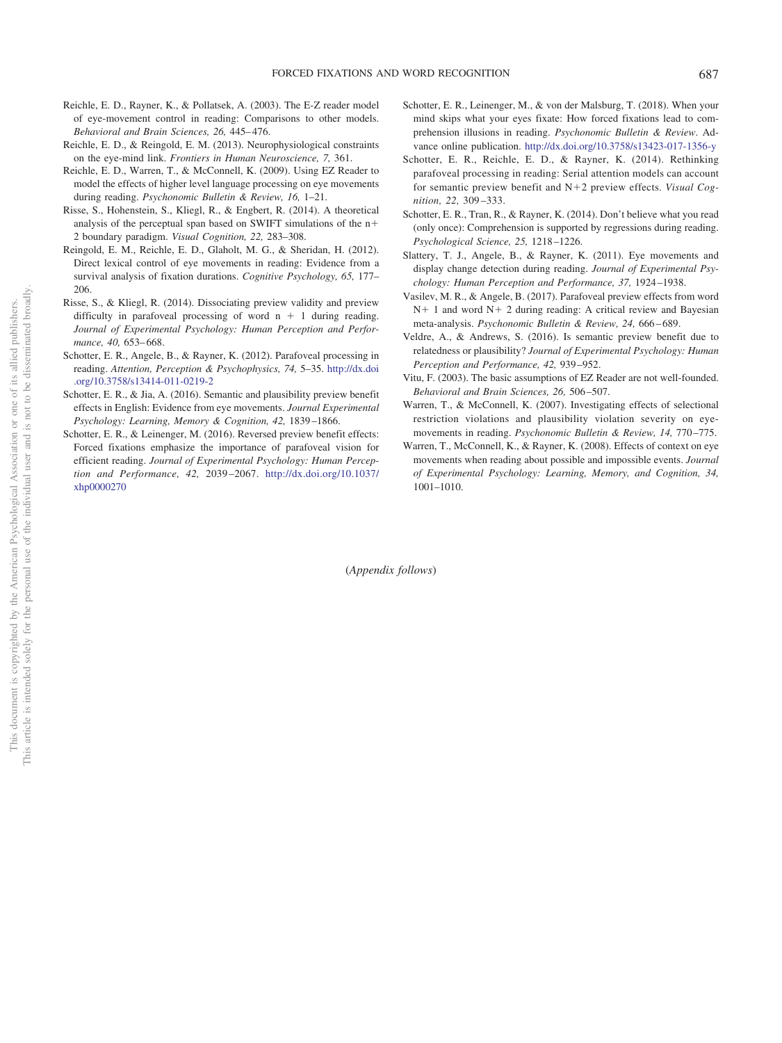- <span id="page-10-8"></span>Reichle, E. D., Rayner, K., & Pollatsek, A. (2003). The E-Z reader model of eye-movement control in reading: Comparisons to other models. *Behavioral and Brain Sciences, 26,* 445– 476.
- <span id="page-10-10"></span>Reichle, E. D., & Reingold, E. M. (2013). Neurophysiological constraints on the eye-mind link. *Frontiers in Human Neuroscience, 7,* 361.
- <span id="page-10-13"></span>Reichle, E. D., Warren, T., & McConnell, K. (2009). Using EZ Reader to model the effects of higher level language processing on eye movements during reading. *Psychonomic Bulletin & Review, 16,* 1–21.
- <span id="page-10-17"></span>Risse, S., Hohenstein, S., Kliegl, R., & Engbert, R. (2014). A theoretical analysis of the perceptual span based on SWIFT simulations of the n 2 boundary paradigm. *Visual Cognition, 22,* 283–308.
- <span id="page-10-1"></span>Reingold, E. M., Reichle, E. D., Glaholt, M. G., & Sheridan, H. (2012). Direct lexical control of eye movements in reading: Evidence from a survival analysis of fixation durations. *Cognitive Psychology, 65,* 177– 206.
- <span id="page-10-9"></span>Risse, S., & Kliegl, R. (2014). Dissociating preview validity and preview difficulty in parafoveal processing of word  $n + 1$  during reading. *Journal of Experimental Psychology: Human Perception and Performance, 40,* 653– 668.
- <span id="page-10-2"></span>Schotter, E. R., Angele, B., & Rayner, K. (2012). Parafoveal processing in reading. *Attention, Perception & Psychophysics, 74,* 5–35. [http://dx.doi](http://dx.doi.org/10.3758/s13414-011-0219-2) [.org/10.3758/s13414-011-0219-2](http://dx.doi.org/10.3758/s13414-011-0219-2)
- <span id="page-10-4"></span>Schotter, E. R., & Jia, A. (2016). Semantic and plausibility preview benefit effects in English: Evidence from eye movements. *Journal Experimental Psychology: Learning, Memory & Cognition, 42,* 1839 –1866.
- <span id="page-10-0"></span>Schotter, E. R., & Leinenger, M. (2016). Reversed preview benefit effects: Forced fixations emphasize the importance of parafoveal vision for efficient reading. *Journal of Experimental Psychology: Human Perception and Performance, 42,* 2039 –2067. [http://dx.doi.org/10.1037/](http://dx.doi.org/10.1037/xhp0000270) [xhp0000270](http://dx.doi.org/10.1037/xhp0000270)
- <span id="page-10-6"></span>Schotter, E. R., Leinenger, M., & von der Malsburg, T. (2018). When your mind skips what your eyes fixate: How forced fixations lead to comprehension illusions in reading. *Psychonomic Bulletin & Review*. Advance online publication. <http://dx.doi.org/10.3758/s13423-017-1356-y>
- <span id="page-10-16"></span>Schotter, E. R., Reichle, E. D., & Rayner, K. (2014). Rethinking parafoveal processing in reading: Serial attention models can account for semantic preview benefit and N2 preview effects. *Visual Cognition, 22,* 309 –333.
- <span id="page-10-11"></span>Schotter, E. R., Tran, R., & Rayner, K. (2014). Don't believe what you read (only once): Comprehension is supported by regressions during reading. *Psychological Science, 25,* 1218 –1226.
- <span id="page-10-12"></span>Slattery, T. J., Angele, B., & Rayner, K. (2011). Eye movements and display change detection during reading. *Journal of Experimental Psychology: Human Perception and Performance, 37,* 1924 –1938.
- <span id="page-10-3"></span>Vasilev, M. R., & Angele, B. (2017). Parafoveal preview effects from word  $N+1$  and word  $N+2$  during reading: A critical review and Bayesian meta-analysis. *Psychonomic Bulletin & Review, 24,* 666 – 689.
- <span id="page-10-5"></span>Veldre, A., & Andrews, S. (2016). Is semantic preview benefit due to relatedness or plausibility? *Journal of Experimental Psychology: Human Perception and Performance, 42,* 939 –952.
- <span id="page-10-7"></span>Vitu, F. (2003). The basic assumptions of EZ Reader are not well-founded. *Behavioral and Brain Sciences, 26,* 506 –507.
- <span id="page-10-14"></span>Warren, T., & McConnell, K. (2007). Investigating effects of selectional restriction violations and plausibility violation severity on eyemovements in reading. *Psychonomic Bulletin & Review, 14,* 770 –775.
- <span id="page-10-15"></span>Warren, T., McConnell, K., & Rayner, K. (2008). Effects of context on eye movements when reading about possible and impossible events. *Journal of Experimental Psychology: Learning, Memory, and Cognition, 34,* 1001–1010.

(*Appendix follows*)